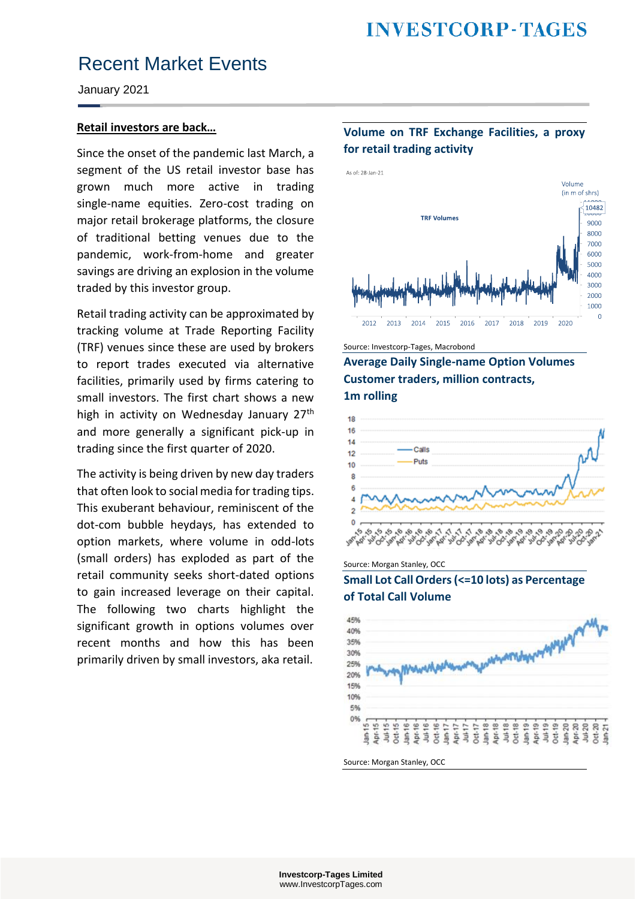January 2021

### **Retail investors are back…**

Since the onset of the pandemic last March, a segment of the US retail investor base has grown much more active in trading single-name equities. Zero-cost trading on major retail brokerage platforms, the closure of traditional betting venues due to the pandemic, work-from-home and greater savings are driving an explosion in the volume traded by this investor group.

Retail trading activity can be approximated by tracking volume at Trade Reporting Facility (TRF) venues since these are used by brokers to report trades executed via alternative facilities, primarily used by firms catering to small investors. The first chart shows a new high in activity on Wednesday January 27<sup>th</sup> and more generally a significant pick-up in trading since the first quarter of 2020.

The activity is being driven by new day traders that often look to social media for trading tips. This exuberant behaviour, reminiscent of the dot-com bubble heydays, has extended to option markets, where volume in odd-lots (small orders) has exploded as part of the retail community seeks short-dated options to gain increased leverage on their capital. The following two charts highlight the significant growth in options volumes over recent months and how this has been primarily driven by small investors, aka retail.

### **Volume on TRF Exchange Facilities, a proxy for retail trading activity**



Source: Investcorp-Tages, Macrobond

**Average Daily Single-name Option Volumes Customer traders, million contracts, 1m rolling**



Source: Morgan Stanley, OCC

**Small Lot Call Orders (<=10 lots) as Percentage of Total Call Volume**



Source: Morgan Stanley, OCC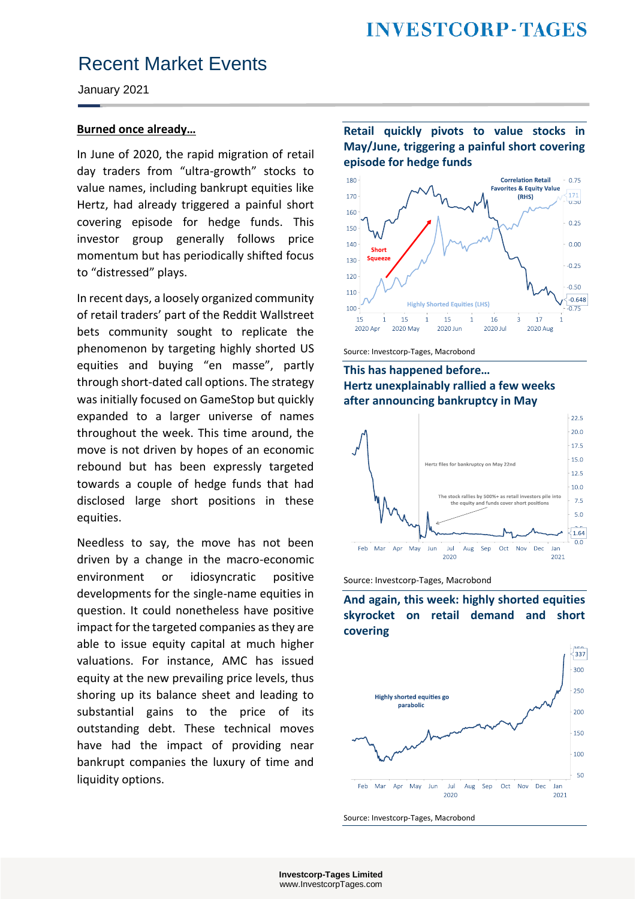January 2021

### **Burned once already…**

In June of 2020, the rapid migration of retail day traders from "ultra-growth" stocks to value names, including bankrupt equities like Hertz, had already triggered a painful short covering episode for hedge funds. This investor group generally follows price momentum but has periodically shifted focus to "distressed" plays.

In recent days, a loosely organized community of retail traders' part of the Reddit Wallstreet bets community sought to replicate the phenomenon by targeting highly shorted US equities and buying "en masse", partly through short-dated call options. The strategy was initially focused on GameStop but quickly expanded to a larger universe of names throughout the week. This time around, the move is not driven by hopes of an economic rebound but has been expressly targeted towards a couple of hedge funds that had disclosed large short positions in these equities.

Needless to say, the move has not been driven by a change in the macro-economic environment or idiosyncratic positive developments for the single-name equities in question. It could nonetheless have positive impact for the targeted companies as they are able to issue equity capital at much higher valuations. For instance, AMC has issued equity at the new prevailing price levels, thus shoring up its balance sheet and leading to substantial gains to the price of its outstanding debt. These technical moves have had the impact of providing near bankrupt companies the luxury of time and liquidity options.

### **Retail quickly pivots to value stocks in May/June, triggering a painful short covering episode for hedge funds**



Source: Investcorp-Tages, Macrobond

**This has happened before… Hertz unexplainably rallied a few weeks after announcing bankruptcy in May**



Source: Investcorp-Tages, Macrobond

**And again, this week: highly shorted equities skyrocket on retail demand and short covering**



Source: Investcorp-Tages, Macrobond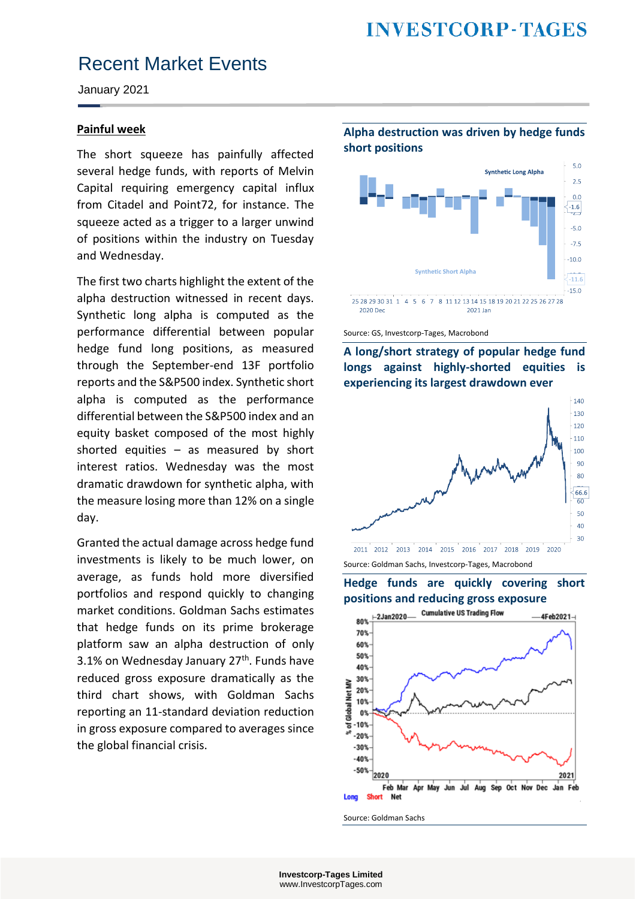January 2021

#### **Painful week**

The short squeeze has painfully affected several hedge funds, with reports of Melvin Capital requiring emergency capital influx from Citadel and Point72, for instance. The squeeze acted as a trigger to a larger unwind of positions within the industry on Tuesday and Wednesday.

The first two charts highlight the extent of the alpha destruction witnessed in recent days. Synthetic long alpha is computed as the performance differential between popular hedge fund long positions, as measured through the September-end 13F portfolio reports and the S&P500 index. Synthetic short alpha is computed as the performance differential between the S&P500 index and an equity basket composed of the most highly shorted equities – as measured by short interest ratios. Wednesday was the most dramatic drawdown for synthetic alpha, with the measure losing more than 12% on a single day.

Granted the actual damage across hedge fund investments is likely to be much lower, on average, as funds hold more diversified portfolios and respond quickly to changing market conditions. Goldman Sachs estimates that hedge funds on its prime brokerage platform saw an alpha destruction of only 3.1% on Wednesday January  $27<sup>th</sup>$ . Funds have reduced gross exposure dramatically as the third chart shows, with Goldman Sachs reporting an 11-standard deviation reduction in gross exposure compared to averages since the global financial crisis.

**Alpha destruction was driven by hedge funds short positions**



Source: GS, Investcorp-Tages, Macrobond

**A long/short strategy of popular hedge fund longs against highly-shorted equities is experiencing its largest drawdown ever**



Source: Goldman Sachs, Investcorp-Tages, Macrobond

**Hedge funds are quickly covering short positions and reducing gross exposure**



Source: Goldman Sachs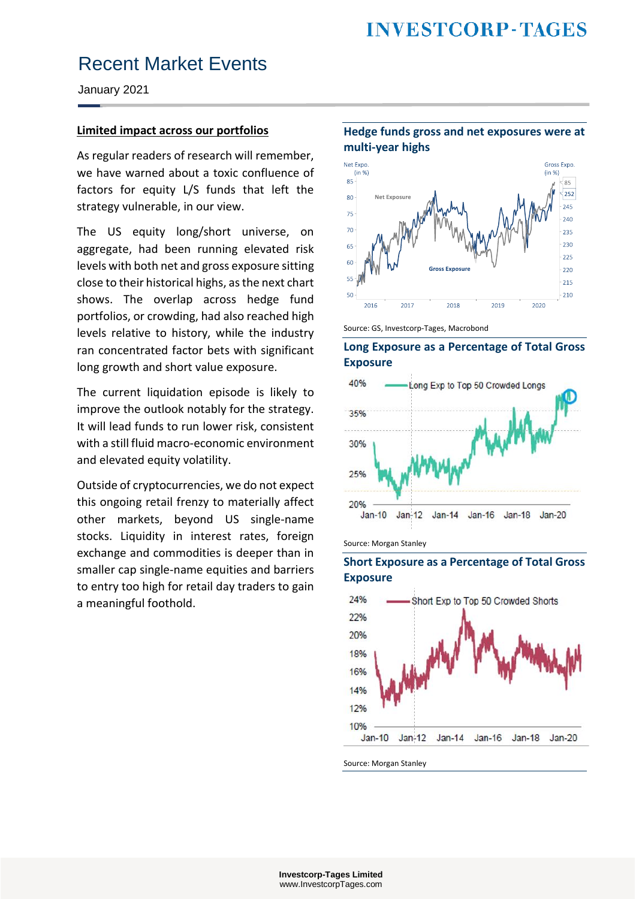January 2021

### **Limited impact across our portfolios**

As regular readers of research will remember, we have warned about a toxic confluence of factors for equity L/S funds that left the strategy vulnerable, in our view.

The US equity long/short universe, on aggregate, had been running elevated risk levels with both net and gross exposure sitting close to their historical highs, as the next chart shows. The overlap across hedge fund portfolios, or crowding, had also reached high levels relative to history, while the industry ran concentrated factor bets with significant long growth and short value exposure.

The current liquidation episode is likely to improve the outlook notably for the strategy. It will lead funds to run lower risk, consistent with a still fluid macro-economic environment and elevated equity volatility.

Outside of cryptocurrencies, we do not expect this ongoing retail frenzy to materially affect other markets, beyond US single-name stocks. Liquidity in interest rates, foreign exchange and commodities is deeper than in smaller cap single-name equities and barriers to entry too high for retail day traders to gain a meaningful foothold.

**multi-year highs** Net Expo **Gross Expo**  $(in %)$  $(in %)$  $85 252$ 80 75  $\overline{20}$  $225$ ้ววก 65  $-225$ 60 **Gross Exposur**  $-220$  $-215$  $-210$ 50 2019 2020 2016 2017 2018

**Hedge funds gross and net exposures were at** 













Source: Morgan Stanley